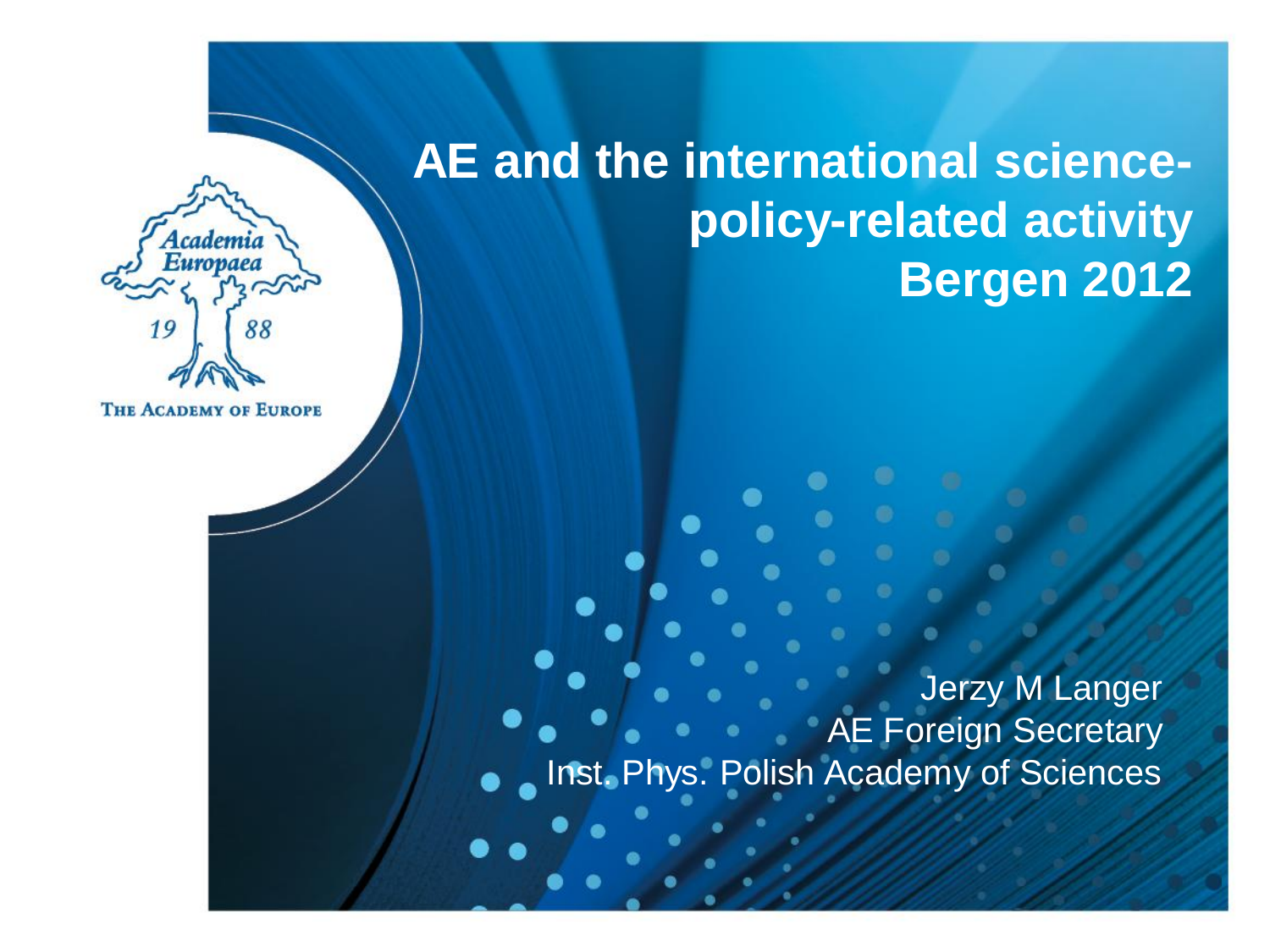#### **AE and the international sciencepolicy-related activity Bergen 2012**



**THE ACADEMY OF EUROPE** 

Jerzy M Langer AE Foreign Secretary Inst. Phys. Polish Academy of Sciences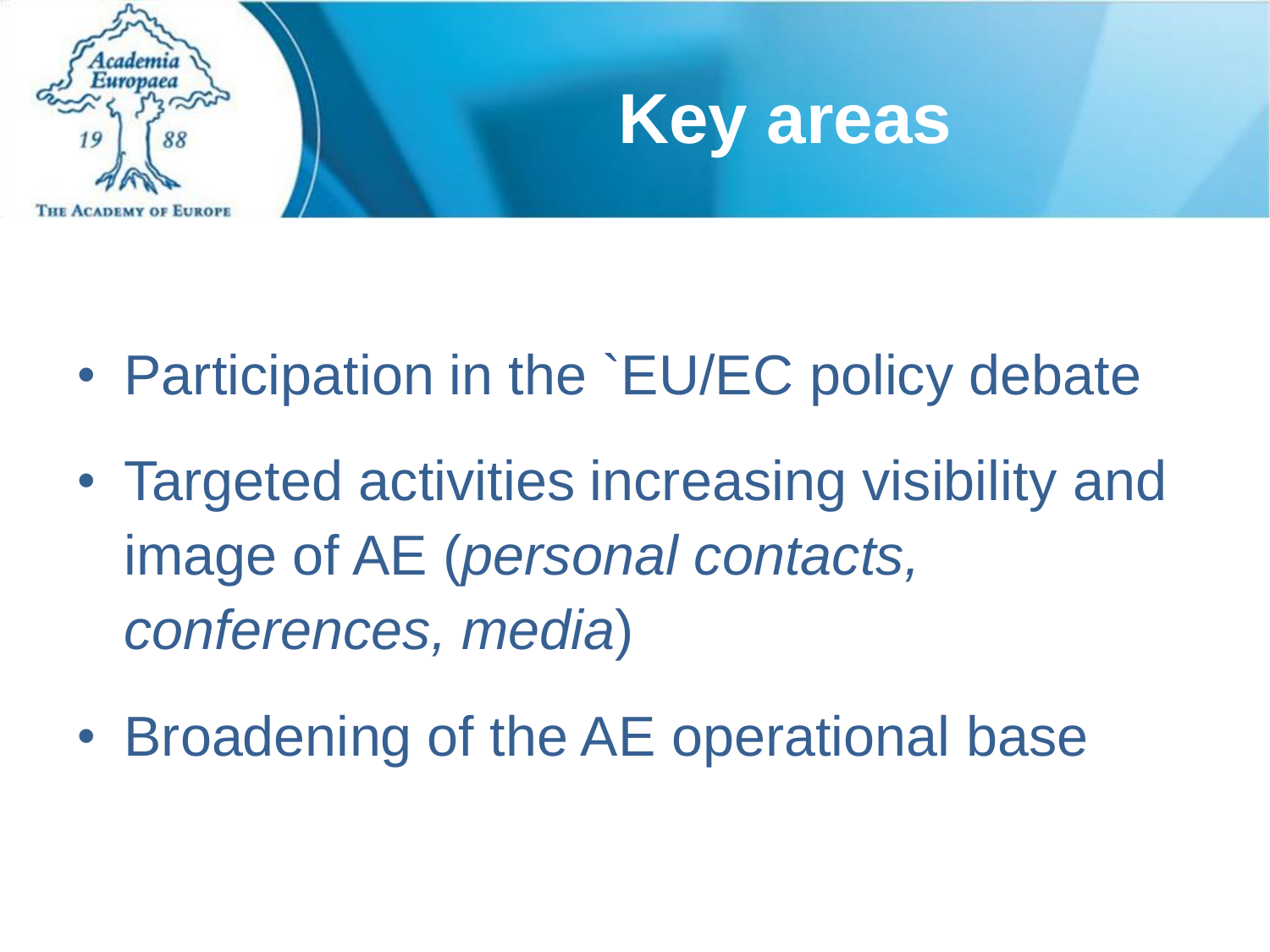



- Participation in the `EU/EC policy debate
- Targeted activities increasing visibility and image of AE (*personal contacts, conferences, media*)
- Broadening of the AE operational base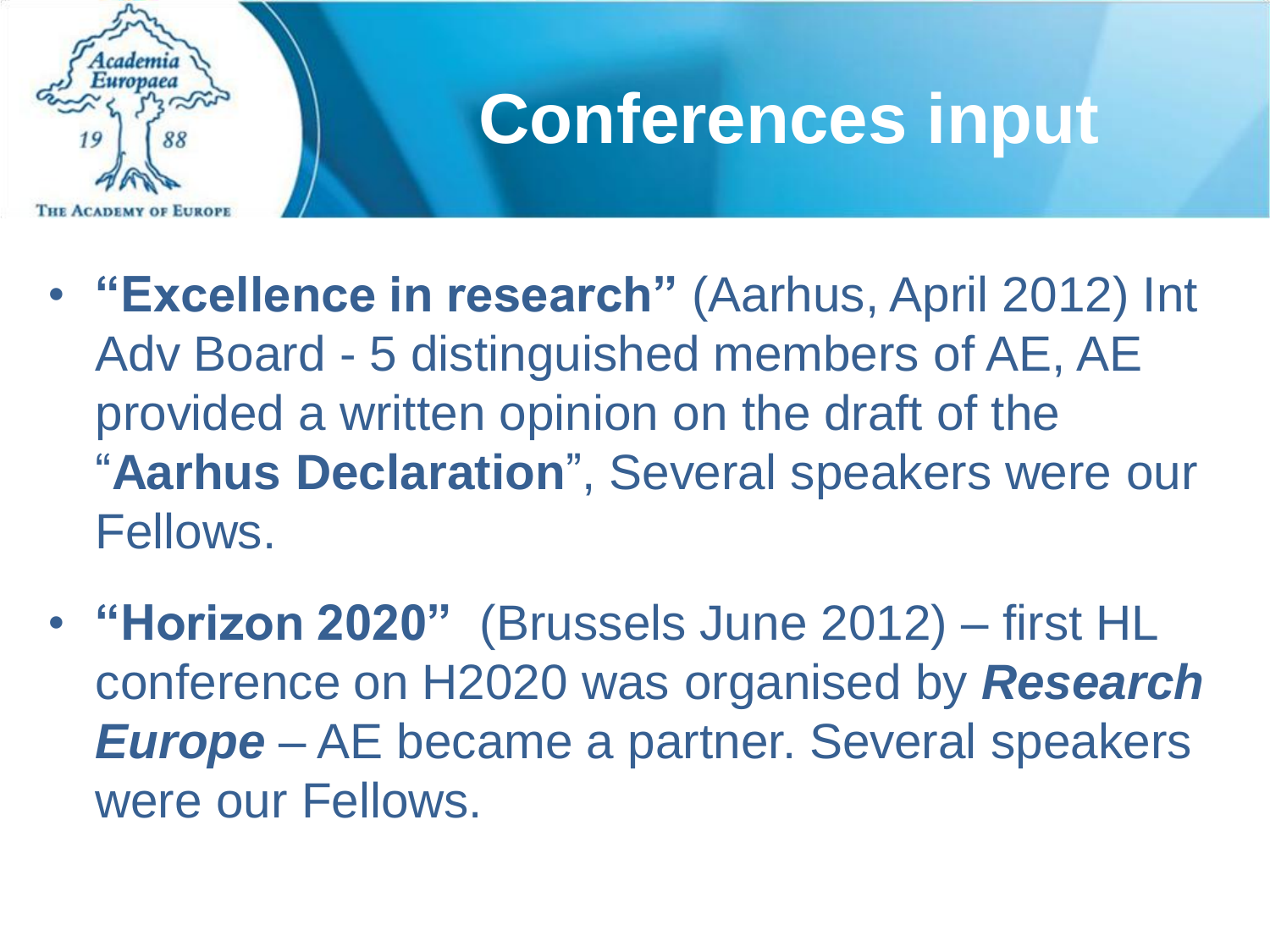

## **Conferences input**

- **"Excellence in research"** (Aarhus, April 2012) Int Adv Board - 5 distinguished members of AE, AE provided a written opinion on the draft of the "**Aarhus Declaration**" , Several speakers were our Fellows.
- **"Horizon 2020"** (Brussels June 2012) first HL conference on H2020 was organised by *Research Europe* – AE became a partner. Several speakers were our Fellows.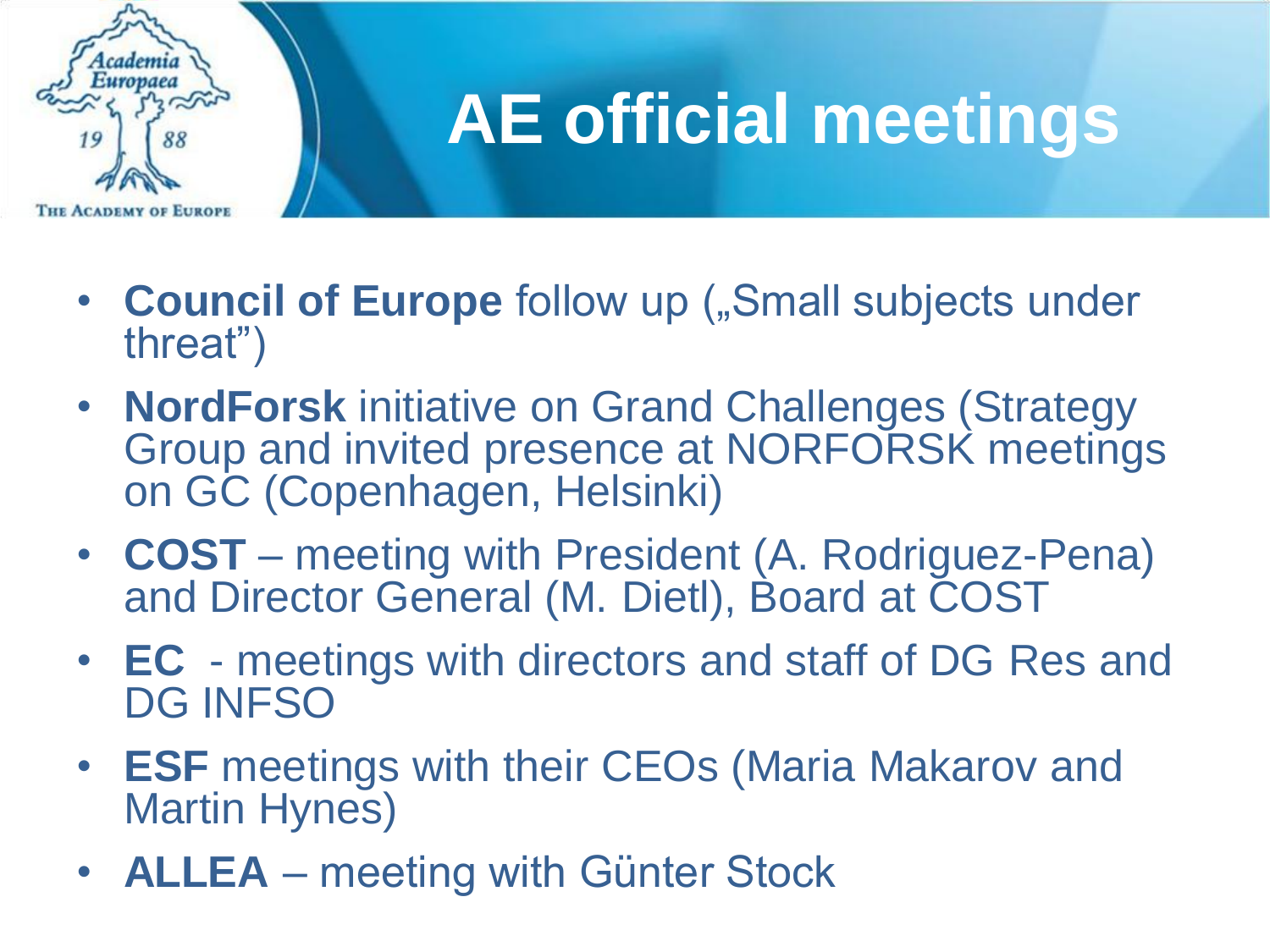

# **AE official meetings**

- Council of Europe follow up ("Small subjects under threat")
- **NordForsk** initiative on Grand Challenges (Strategy Group and invited presence at NORFORSK meetings on GC (Copenhagen, Helsinki)
- **COST** meeting with President (A. Rodriguez-Pena) and Director General (M. Dietl), Board at COST
- **EC** meetings with directors and staff of DG Res and DG INFSO
- **ESF** meetings with their CEOs (Maria Makarov and Martin Hynes)
- **ALLEA** meeting with Günter Stock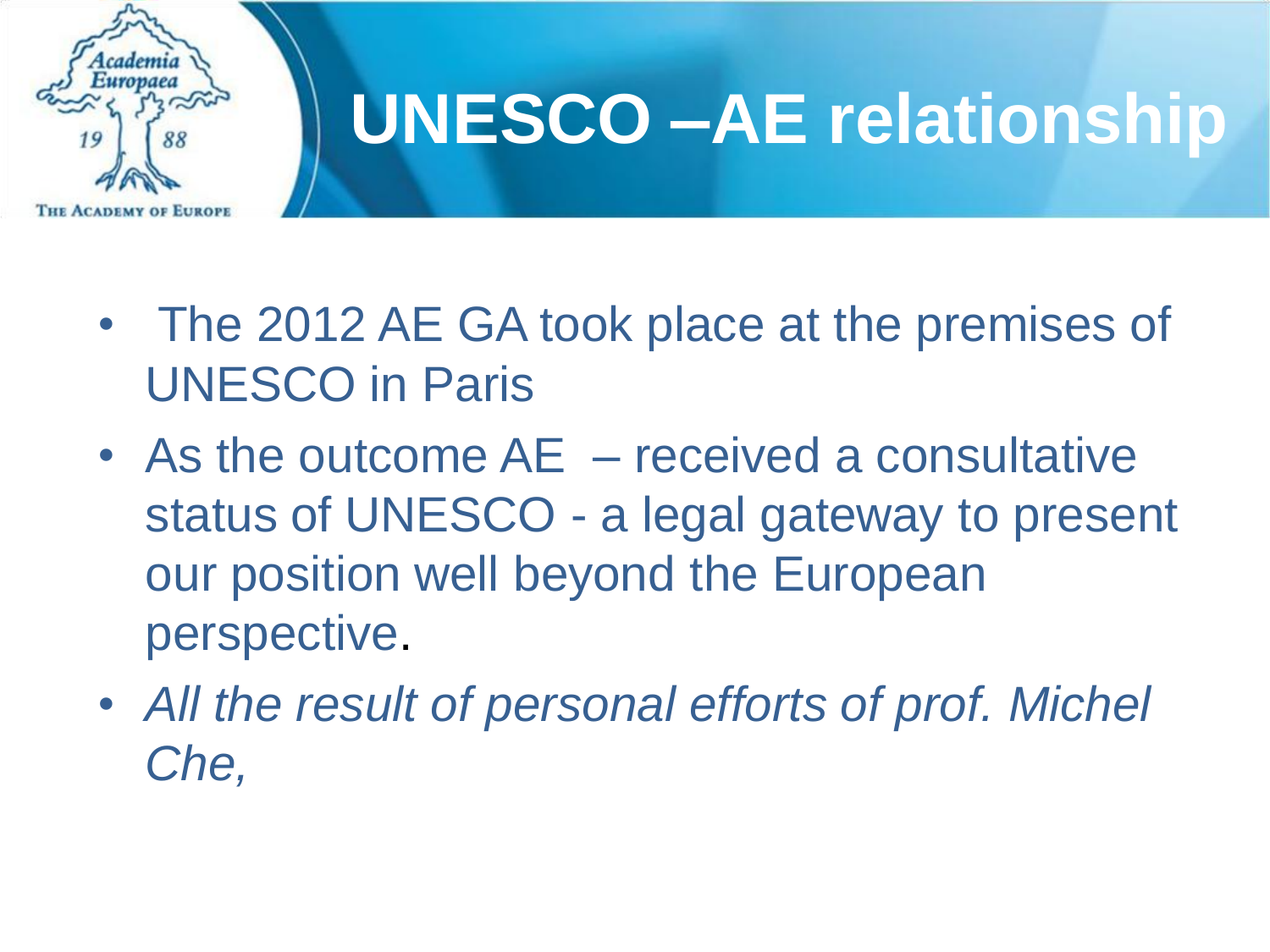

## **UNESCO –AE relationship**

- The 2012 AE GA took place at the premises of UNESCO in Paris
- As the outcome AE received a consultative status of UNESCO - a legal gateway to present our position well beyond the European perspective.
- *All the result of personal efforts of prof. Michel Che,*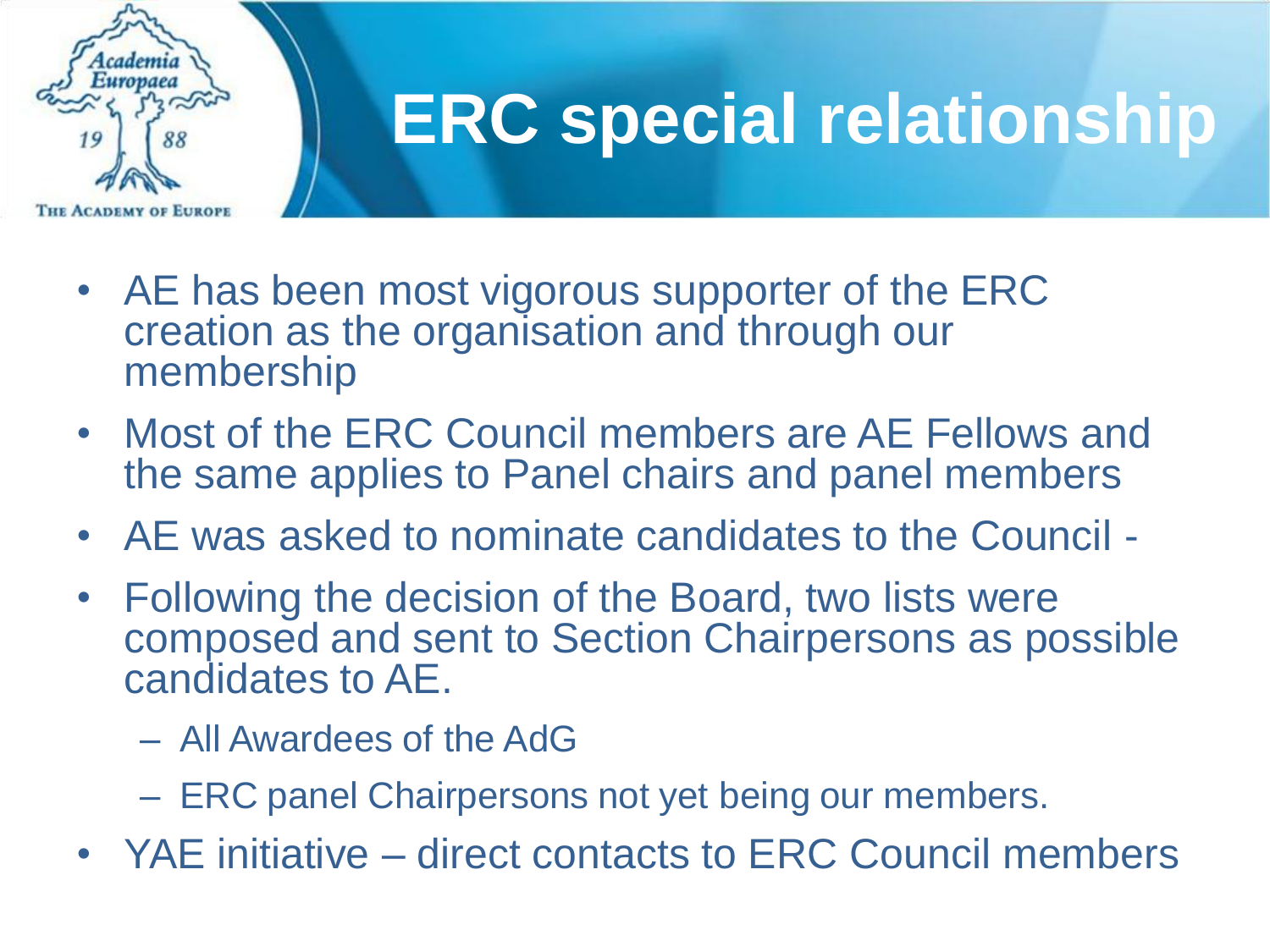

## **ERC special relationship**

- AE has been most vigorous supporter of the ERC creation as the organisation and through our membership
- Most of the ERC Council members are AE Fellows and the same applies to Panel chairs and panel members
- AE was asked to nominate candidates to the Council -
- Following the decision of the Board, two lists were composed and sent to Section Chairpersons as possible candidates to AE.
	- All Awardees of the AdG
	- ERC panel Chairpersons not yet being our members.
- YAE initiative direct contacts to ERC Council members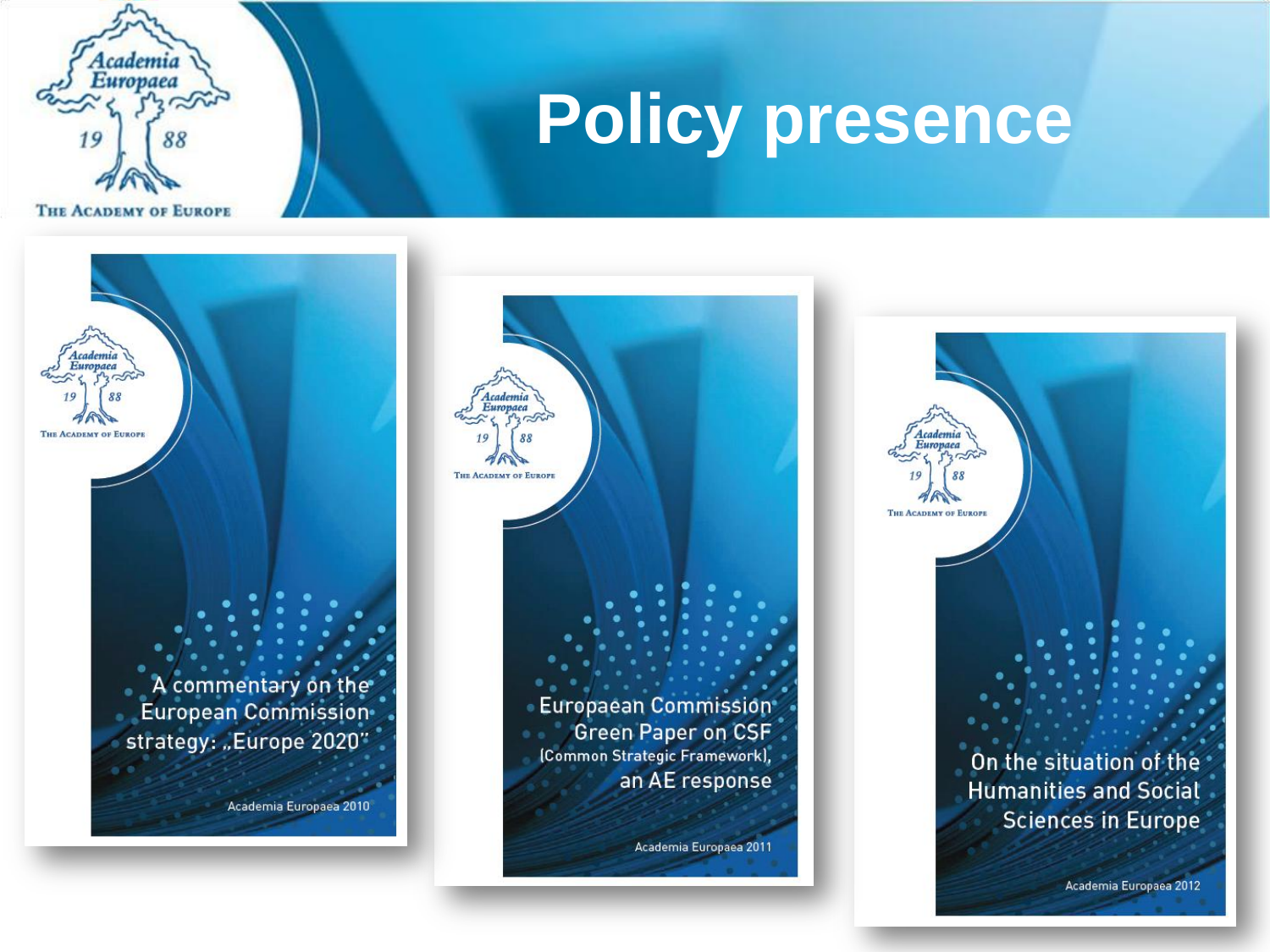

## **Policy presence**

Europaea THE ACADEMY OF EUROPE A commentary on the European Commission strategy: "Europe 2020" Academia Europaea 2010



Academia Europaea THE ACADEMY OF EUROPE On the situation of the **Humanities and Social Sciences in Europe** Academia Europaea 2012